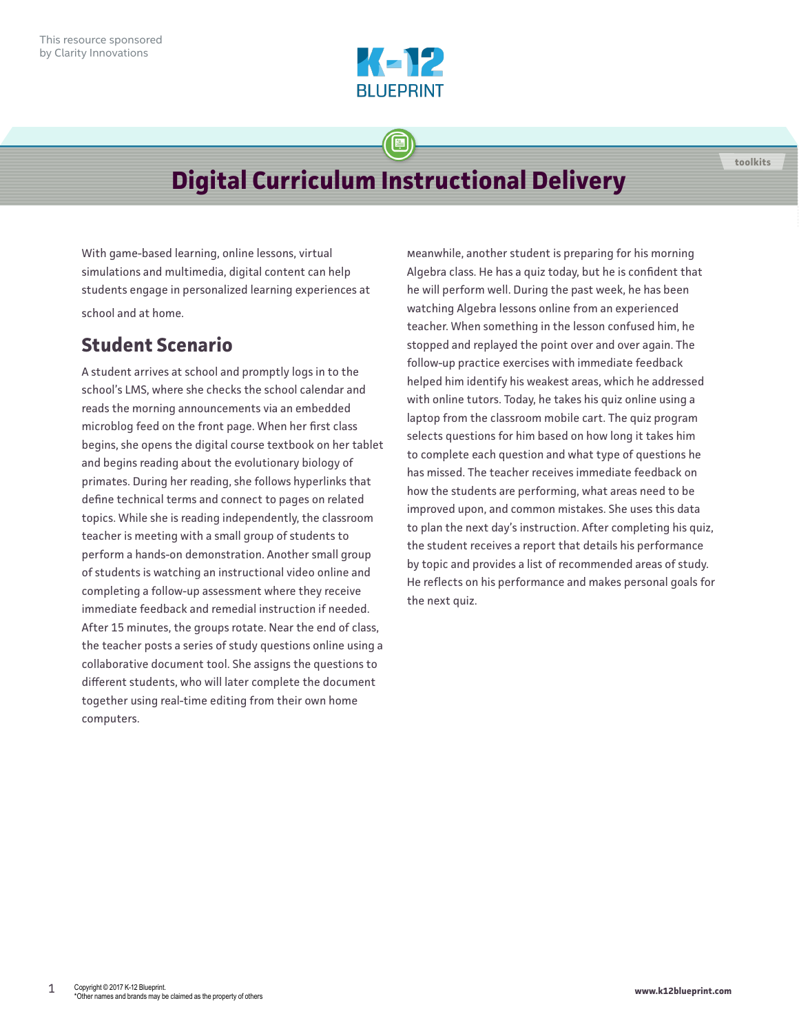

## **Digital Curriculum Instructional Delivery**

With game-based learning, online lessons, virtual simulations and multimedia, digital content can help students engage in personalized learning experiences at school and at home.

## **Student Scenario**

A student arrives at school and promptly logs in to the school's LMS, where she checks the school calendar and reads the morning announcements via an embedded microblog feed on the front page. When her first class begins, she opens the digital course textbook on her tablet and begins reading about the evolutionary biology of primates. During her reading, she follows hyperlinks that define technical terms and connect to pages on related topics. While she is reading independently, the classroom teacher is meeting with a small group of students to perform a hands-on demonstration. Another small group of students is watching an instructional video online and completing a follow-up assessment where they receive immediate feedback and remedial instruction if needed. After 15 minutes, the groups rotate. Near the end of class, the teacher posts a series of study questions online using a collaborative document tool. She assigns the questions to different students, who will later complete the document together using real-time editing from their own home computers.

Meanwhile, another student is preparing for his morning Algebra class. He has a quiz today, but he is confident that he will perform well. During the past week, he has been watching Algebra lessons online from an experienced teacher. When something in the lesson confused him, he stopped and replayed the point over and over again. The follow-up practice exercises with immediate feedback helped him identify his weakest areas, which he addressed with online tutors. Today, he takes his quiz online using a laptop from the classroom mobile cart. The quiz program selects questions for him based on how long it takes him to complete each question and what type of questions he has missed. The teacher receives immediate feedback on how the students are performing, what areas need to be improved upon, and common mistakes. She uses this data to plan the next day's instruction. After completing his quiz, the student receives a report that details his performance by topic and provides a list of recommended areas of study. He reflects on his performance and makes personal goals for the next quiz.

**toolkits**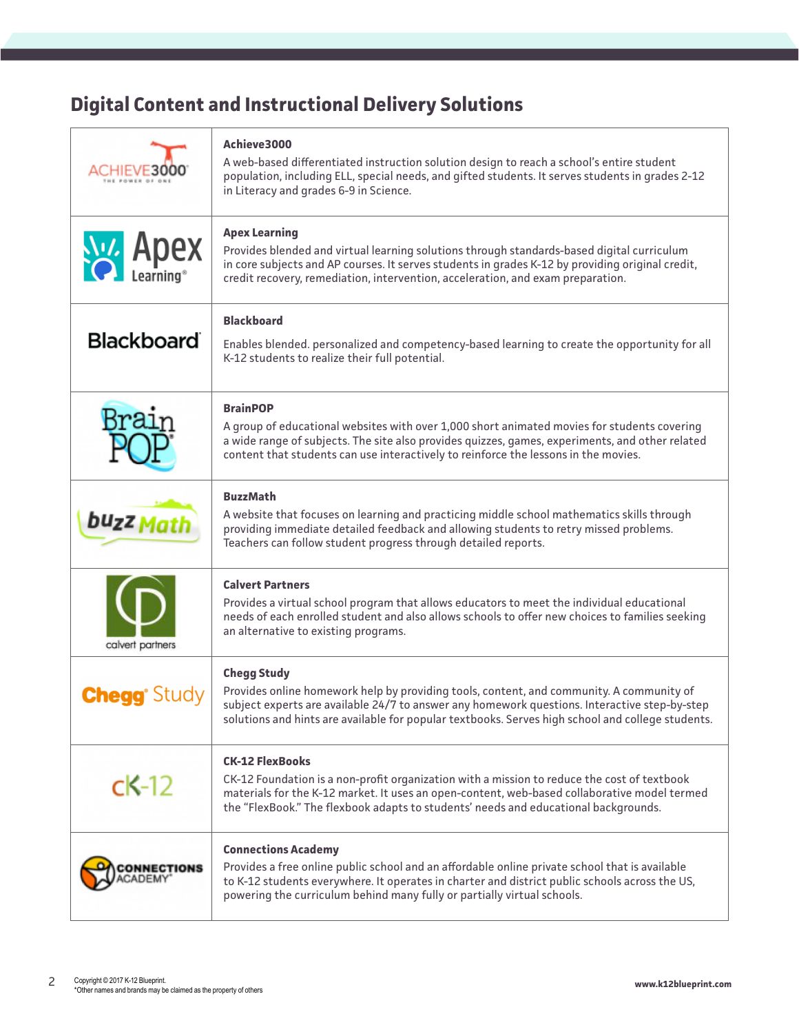## **Digital Content and Instructional Delivery Solutions**

| CHIEVE30                   | Achieve3000<br>A web-based differentiated instruction solution design to reach a school's entire student<br>population, including ELL, special needs, and gifted students. It serves students in grades 2-12<br>in Literacy and grades 6-9 in Science.                                                               |
|----------------------------|----------------------------------------------------------------------------------------------------------------------------------------------------------------------------------------------------------------------------------------------------------------------------------------------------------------------|
| <b>Niza Apex</b>           | <b>Apex Learning</b><br>Provides blended and virtual learning solutions through standards-based digital curriculum<br>in core subjects and AP courses. It serves students in grades K-12 by providing original credit,<br>credit recovery, remediation, intervention, acceleration, and exam preparation.            |
| <b>Blackboard</b>          | <b>Blackboard</b><br>Enables blended. personalized and competency-based learning to create the opportunity for all<br>K-12 students to realize their full potential.                                                                                                                                                 |
| Braır                      | <b>BrainPOP</b><br>A group of educational websites with over 1,000 short animated movies for students covering<br>a wide range of subjects. The site also provides quizzes, games, experiments, and other related<br>content that students can use interactively to reinforce the lessons in the movies.             |
| buzz Math                  | <b>BuzzMath</b><br>A website that focuses on learning and practicing middle school mathematics skills through<br>providing immediate detailed feedback and allowing students to retry missed problems.<br>Teachers can follow student progress through detailed reports.                                             |
| calvert partners           | <b>Calvert Partners</b><br>Provides a virtual school program that allows educators to meet the individual educational<br>needs of each enrolled student and also allows schools to offer new choices to families seeking<br>an alternative to existing programs.                                                     |
| <b>Chegg</b> Study         | <b>Chegg Study</b><br>Provides online homework help by providing tools, content, and community. A community of<br>subject experts are available 24/7 to answer any homework questions. Interactive step-by-step<br>solutions and hints are available for popular textbooks. Serves high school and college students. |
| $ck-12$                    | <b>CK-12 FlexBooks</b><br>CK-12 Foundation is a non-profit organization with a mission to reduce the cost of textbook<br>materials for the K-12 market. It uses an open-content, web-based collaborative model termed<br>the "FlexBook." The flexbook adapts to students' needs and educational backgrounds.         |
| <b>ONNECTIONS</b><br>CADEM | <b>Connections Academy</b><br>Provides a free online public school and an affordable online private school that is available<br>to K-12 students everywhere. It operates in charter and district public schools across the US,<br>powering the curriculum behind many fully or partially virtual schools.            |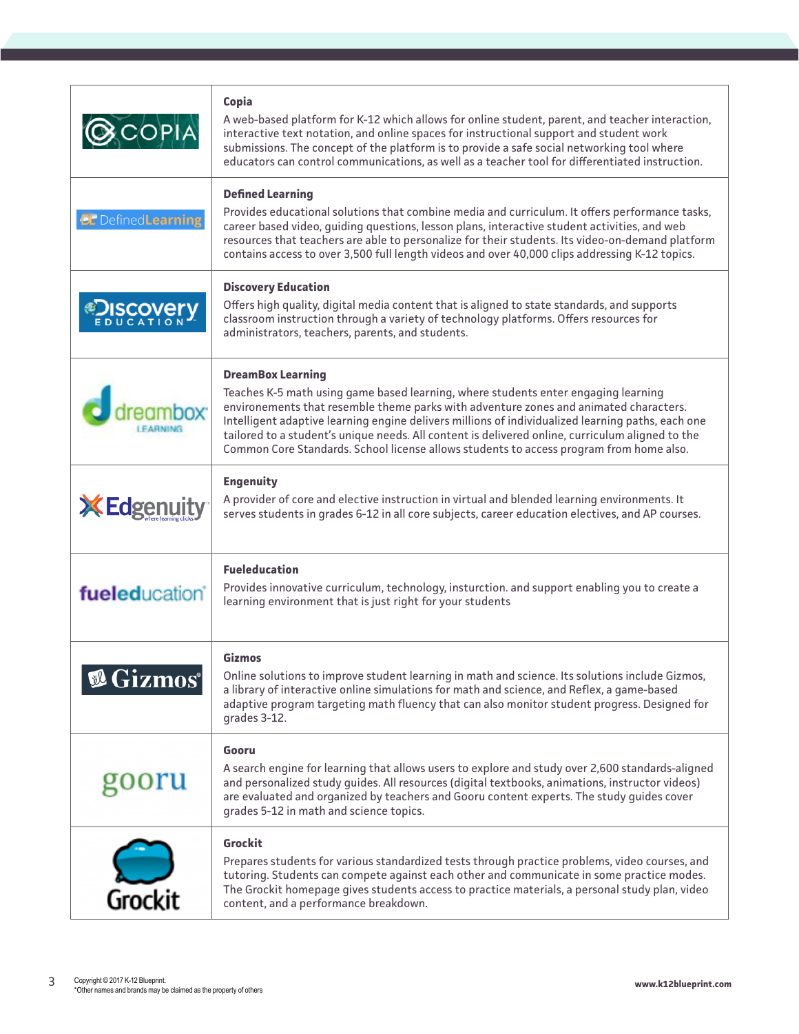|                                   | Copia<br>A web-based platform for K-12 which allows for online student, parent, and teacher interaction,<br>interactive text notation, and online spaces for instructional support and student work<br>submissions. The concept of the platform is to provide a safe social networking tool where<br>educators can control communications, as well as a teacher tool for differentiated instruction.                                                                                                        |
|-----------------------------------|-------------------------------------------------------------------------------------------------------------------------------------------------------------------------------------------------------------------------------------------------------------------------------------------------------------------------------------------------------------------------------------------------------------------------------------------------------------------------------------------------------------|
| <b>BL</b> Defined <b>Learning</b> | <b>Defined Learning</b><br>Provides educational solutions that combine media and curriculum. It offers performance tasks,<br>career based video, guiding questions, lesson plans, interactive student activities, and web<br>resources that teachers are able to personalize for their students. Its video-on-demand platform<br>contains access to over 3,500 full length videos and over 40,000 clips addressing K-12 topics.                                                                             |
| <b>∉Discover</b>                  | <b>Discovery Education</b><br>Offers high quality, digital media content that is aligned to state standards, and supports<br>classroom instruction through a variety of technology platforms. Offers resources for<br>administrators, teachers, parents, and students.                                                                                                                                                                                                                                      |
|                                   | <b>DreamBox Learning</b><br>Teaches K-5 math using game based learning, where students enter engaging learning<br>environements that resemble theme parks with adventure zones and animated characters.<br>Intelligent adaptive learning engine delivers millions of individualized learning paths, each one<br>tailored to a student's unique needs. All content is delivered online, curriculum aligned to the<br>Common Core Standards. School license allows students to access program from home also. |
| <b>XEdger</b>                     | <b>Engenuity</b><br>A provider of core and elective instruction in virtual and blended learning environments. It<br>serves students in grades 6-12 in all core subjects, career education electives, and AP courses.                                                                                                                                                                                                                                                                                        |
| fueleducation <sup>®</sup>        | <b>Fueleducation</b><br>Provides innovative curriculum, technology, insturction. and support enabling you to create a<br>learning environment that is just right for your students                                                                                                                                                                                                                                                                                                                          |
| <b><i><b>E</b></i></b> Gizmos®    | <b>Gizmos</b><br>Online solutions to improve student learning in math and science. Its solutions include Gizmos,<br>a library of interactive online simulations for math and science, and Reflex, a game-based<br>adaptive program targeting math fluency that can also monitor student progress. Designed for<br>grades 3-12.                                                                                                                                                                              |
| goor                              | Gooru<br>A search engine for learning that allows users to explore and study over 2,600 standards-aligned<br>and personalized study guides. All resources (digital textbooks, animations, instructor videos)<br>are evaluated and organized by teachers and Gooru content experts. The study guides cover<br>grades 5-12 in math and science topics.                                                                                                                                                        |
| <b>Grockit</b>                    | Grockit<br>Prepares students for various standardized tests through practice problems, video courses, and<br>tutoring. Students can compete against each other and communicate in some practice modes.<br>The Grockit homepage gives students access to practice materials, a personal study plan, video<br>content, and a performance breakdown.                                                                                                                                                           |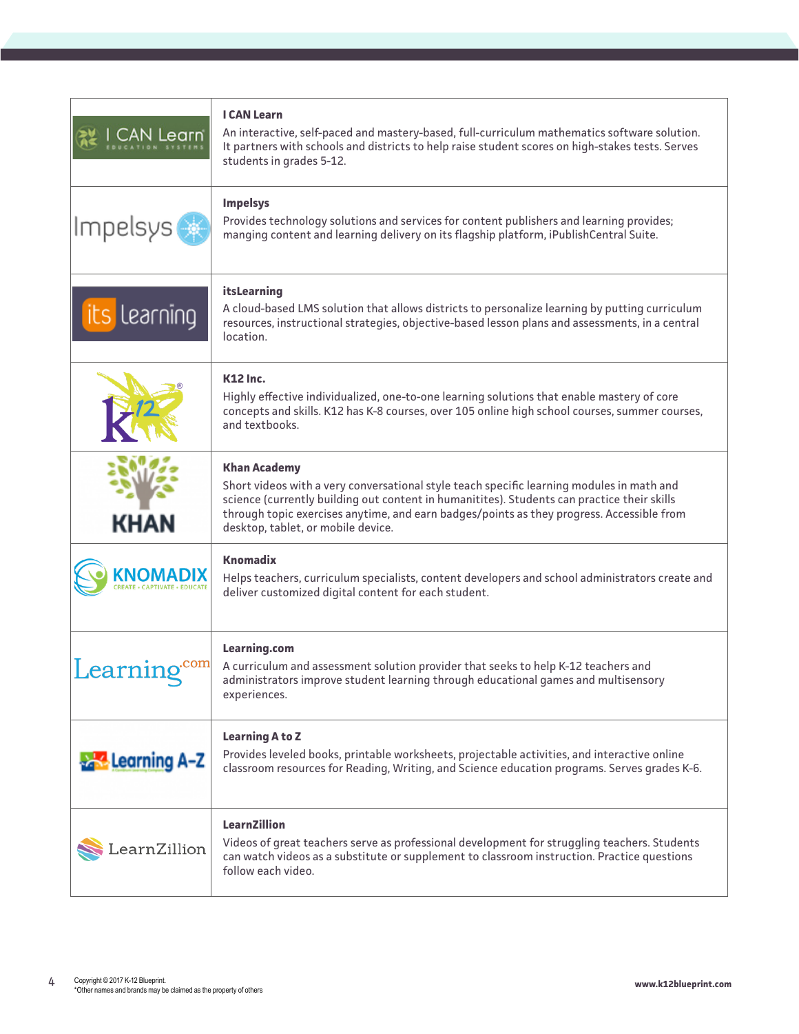| l earn                | <b>I CAN Learn</b><br>An interactive, self-paced and mastery-based, full-curriculum mathematics software solution.<br>It partners with schools and districts to help raise student scores on high-stakes tests. Serves<br>students in grades 5-12.                                                                                                 |
|-----------------------|----------------------------------------------------------------------------------------------------------------------------------------------------------------------------------------------------------------------------------------------------------------------------------------------------------------------------------------------------|
| Impelsys              | <b>Impelsys</b><br>Provides technology solutions and services for content publishers and learning provides;<br>manging content and learning delivery on its flagship platform, iPublishCentral Suite.                                                                                                                                              |
| ts learning           | itsLearning<br>A cloud-based LMS solution that allows districts to personalize learning by putting curriculum<br>resources, instructional strategies, objective-based lesson plans and assessments, in a central<br>location.                                                                                                                      |
|                       | <b>K12 Inc.</b><br>Highly effective individualized, one-to-one learning solutions that enable mastery of core<br>concepts and skills. K12 has K-8 courses, over 105 online high school courses, summer courses,<br>and textbooks.                                                                                                                  |
| <b>KHAN</b>           | <b>Khan Academy</b><br>Short videos with a very conversational style teach specific learning modules in math and<br>science (currently building out content in humanitites). Students can practice their skills<br>through topic exercises anytime, and earn badges/points as they progress. Accessible from<br>desktop, tablet, or mobile device. |
|                       | Knomadix<br>Helps teachers, curriculum specialists, content developers and school administrators create and<br>deliver customized digital content for each student.                                                                                                                                                                                |
| com<br>Learning       | Learning.com<br>A curriculum and assessment solution provider that seeks to help K-12 teachers and<br>administrators improve student learning through educational games and multisensory<br>experiences.                                                                                                                                           |
| <b>A Learning A-Z</b> | <b>Learning A to Z</b><br>Provides leveled books, printable worksheets, projectable activities, and interactive online<br>classroom resources for Reading, Writing, and Science education programs. Serves grades K-6.                                                                                                                             |
| .earnZillion          | <b>LearnZillion</b><br>Videos of great teachers serve as professional development for struggling teachers. Students<br>can watch videos as a substitute or supplement to classroom instruction. Practice questions<br>follow each video.                                                                                                           |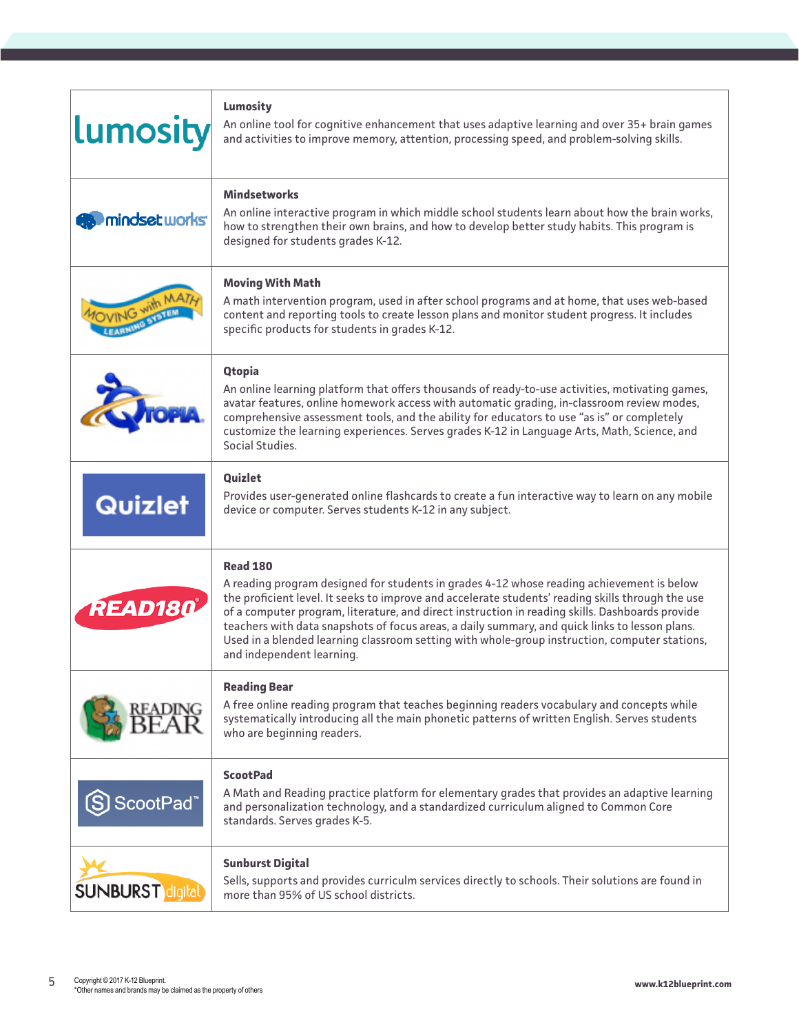| <b>Lumosity</b>            | Lumosity<br>An online tool for cognitive enhancement that uses adaptive learning and over 35+ brain games<br>and activities to improve memory, attention, processing speed, and problem-solving skills.                                                                                                                                                                                                                                                                                                                                              |
|----------------------------|------------------------------------------------------------------------------------------------------------------------------------------------------------------------------------------------------------------------------------------------------------------------------------------------------------------------------------------------------------------------------------------------------------------------------------------------------------------------------------------------------------------------------------------------------|
| <b>EXAMINIOSE LUIOTIST</b> | <b>Mindsetworks</b><br>An online interactive program in which middle school students learn about how the brain works,<br>how to strengthen their own brains, and how to develop better study habits. This program is<br>designed for students grades K-12.                                                                                                                                                                                                                                                                                           |
| <b>DVING WIT</b>           | <b>Moving With Math</b><br>A math intervention program, used in after school programs and at home, that uses web-based<br>content and reporting tools to create lesson plans and monitor student progress. It includes<br>specific products for students in grades K-12.                                                                                                                                                                                                                                                                             |
|                            | <b>Qtopia</b><br>An online learning platform that offers thousands of ready-to-use activities, motivating games,<br>avatar features, online homework access with automatic grading, in-classroom review modes,<br>comprehensive assessment tools, and the ability for educators to use "as is" or completely<br>customize the learning experiences. Serves grades K-12 in Language Arts, Math, Science, and<br>Social Studies.                                                                                                                       |
| Quizlet                    | <b>Quizlet</b><br>Provides user-generated online flashcards to create a fun interactive way to learn on any mobile<br>device or computer. Serves students K-12 in any subject.                                                                                                                                                                                                                                                                                                                                                                       |
| <b>READ180</b>             | <b>Read 180</b><br>A reading program designed for students in grades 4-12 whose reading achievement is below<br>the proficient level. It seeks to improve and accelerate students' reading skills through the use<br>of a computer program, literature, and direct instruction in reading skills. Dashboards provide<br>teachers with data snapshots of focus areas, a daily summary, and quick links to lesson plans.<br>Used in a blended learning classroom setting with whole-group instruction, computer stations,<br>and independent learning. |
|                            | <b>Reading Bear</b><br>A free online reading program that teaches beginning readers vocabulary and concepts while<br>systematically introducing all the main phonetic patterns of written English. Serves students<br>who are beginning readers.                                                                                                                                                                                                                                                                                                     |
| ScootPad <sup>*</sup>      | <b>ScootPad</b><br>A Math and Reading practice platform for elementary grades that provides an adaptive learning<br>and personalization technology, and a standardized curriculum aligned to Common Core<br>standards. Serves grades K-5.                                                                                                                                                                                                                                                                                                            |
| <b>SUNBURST</b> digital    | <b>Sunburst Digital</b><br>Sells, supports and provides curriculm services directly to schools. Their solutions are found in<br>more than 95% of US school districts.                                                                                                                                                                                                                                                                                                                                                                                |